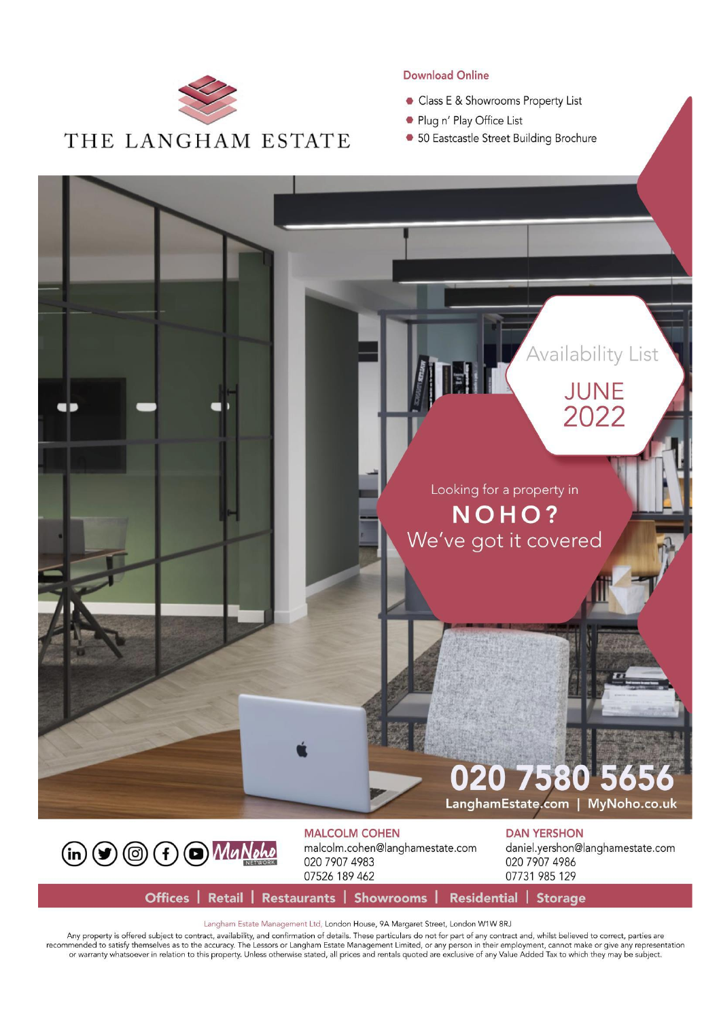

#### **Download Online**

- Class E & Showrooms Property List
- Plug n' Play Office List
- 50 Eastcastle Street Building Brochure



(in 9 (3 + 0 Mu Nohe

**MALCOLM COHEN** malcolm.cohen@langhamestate.com 020 7907 4983 07526 189 462

daniel.yershon@langhamestate.com

020 7907 4986 07731 985 129

Offices | Retail | Restaurants | Showrooms | Residential | Storage

Langham Estate Management Ltd, London House, 9A Margaret Street, London W1W 8RJ

Any property is offered subject to contract, availability, and confirmation of details. These particulars do not for part of any contract and, whilst believed to correct, parties are<br>recommended to satisfy themselves as to or warranty whatsoever in relation to this property. Unless otherwise stated, all prices and rentals quoted are exclusive of any Value Added Tax to which they may be subject.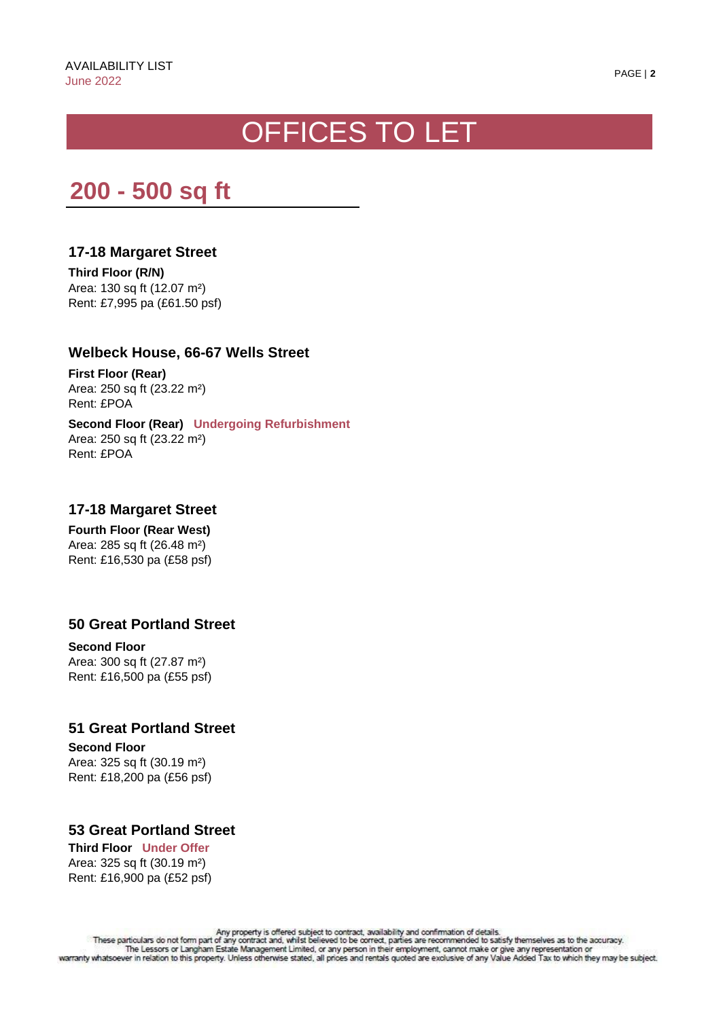# OFFICES TO LET

# **200 - 500 sq ft**

# **17-18 Margaret Street**

**Third Floor (R/N)** Area: 130 sq ft (12.07 m²) Rent: £7,995 pa (£61.50 psf)

# **Welbeck House, 66-67 Wells Street**

**First Floor (Rear)** Area: 250 sq ft (23.22 m²) Rent: £POA

**Second Floor (Rear) Undergoing Refurbishment** Area: 250 sq ft (23.22 m²) Rent: £POA

# **17-18 Margaret Street**

**Fourth Floor (Rear West)** Area: 285 sq ft (26.48 m²) Rent: £16,530 pa (£58 psf)

# **50 Great Portland Street**

**Second Floor**  Area: 300 sq ft (27.87 m²) Rent: £16,500 pa (£55 psf)

# **51 Great Portland Street**

**Second Floor** Area: 325 sq ft (30.19 m²) Rent: £18,200 pa (£56 psf)

# **53 Great Portland Street**

**Third Floor Under Offer** Area: 325 sq ft (30.19 m²) Rent: £16,900 pa (£52 psf)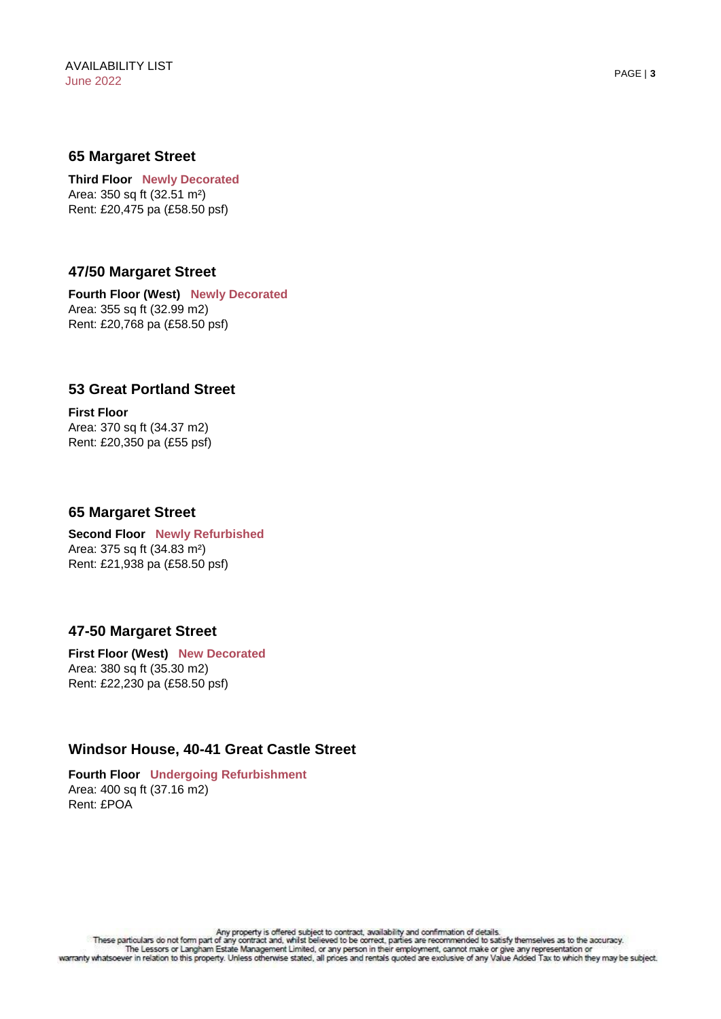#### **65 Margaret Street**

**Third Floor Newly Decorated** Area: 350 sq ft (32.51 m²) Rent: £20,475 pa (£58.50 psf)

# **47/50 Margaret Street**

**Fourth Floor (West) Newly Decorated** Area: 355 sq ft (32.99 m2) Rent: £20,768 pa (£58.50 psf)

#### **53 Great Portland Street**

**First Floor**  Area: 370 sq ft (34.37 m2) Rent: £20,350 pa (£55 psf)

#### **65 Margaret Street**

**Second Floor Newly Refurbished** Area: 375 sq ft (34.83 m²) Rent: £21,938 pa (£58.50 psf)

# **47-50 Margaret Street**

**First Floor (West) New Decorated** Area: 380 sq ft (35.30 m2) Rent: £22,230 pa (£58.50 psf)

# **Windsor House, 40-41 Great Castle Street**

**Fourth Floor Undergoing Refurbishment** Area: 400 sq ft (37.16 m2) Rent: £POA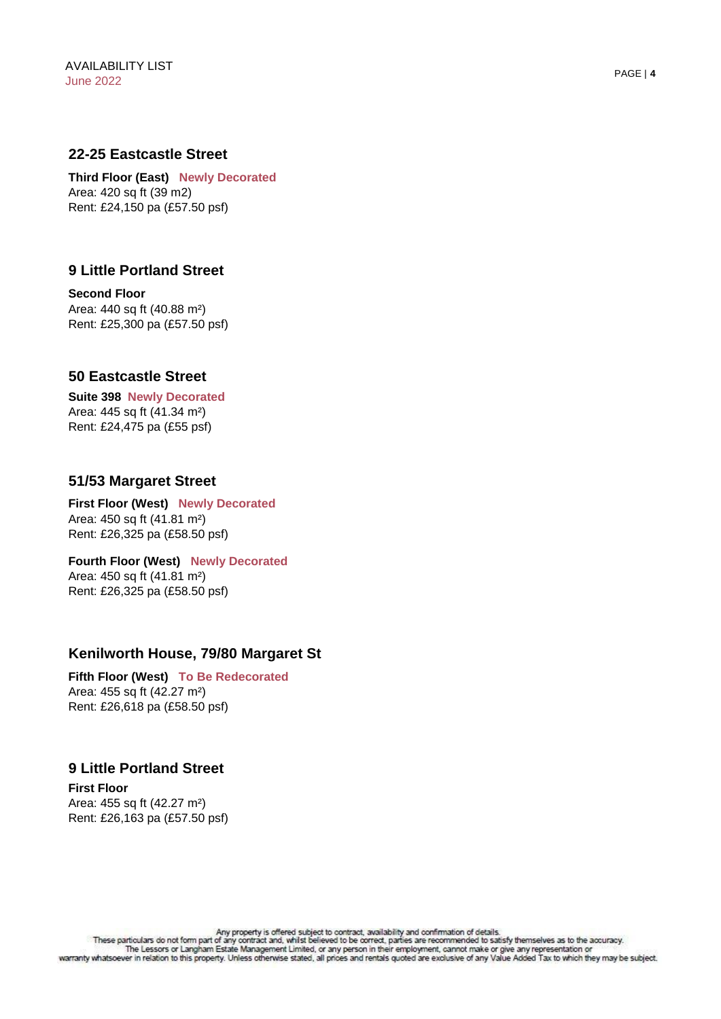#### **22-25 Eastcastle Street**

**Third Floor (East) Newly Decorated** Area: 420 sq ft (39 m2) Rent: £24,150 pa (£57.50 psf)

### **9 Little Portland Street**

**Second Floor** Area: 440 sq ft (40.88 m²) Rent: £25,300 pa (£57.50 psf)

#### **50 Eastcastle Street**

**Suite 398 Newly Decorated** Area: 445 sq ft (41.34 m²) Rent: £24,475 pa (£55 psf)

#### **51/53 Margaret Street**

**First Floor (West) Newly Decorated** Area: 450 sq ft (41.81 m²) Rent: £26,325 pa (£58.50 psf)

**Fourth Floor (West) Newly Decorated** Area: 450 sq ft (41.81 m²) Rent: £26,325 pa (£58.50 psf)

#### **Kenilworth House, 79/80 Margaret St**

**Fifth Floor (West) To Be Redecorated** Area: 455 sq ft (42.27 m²) Rent: £26,618 pa (£58.50 psf)

#### **9 Little Portland Street**

**First Floor**  Area: 455 sq ft (42.27 m²) Rent: £26,163 pa (£57.50 psf)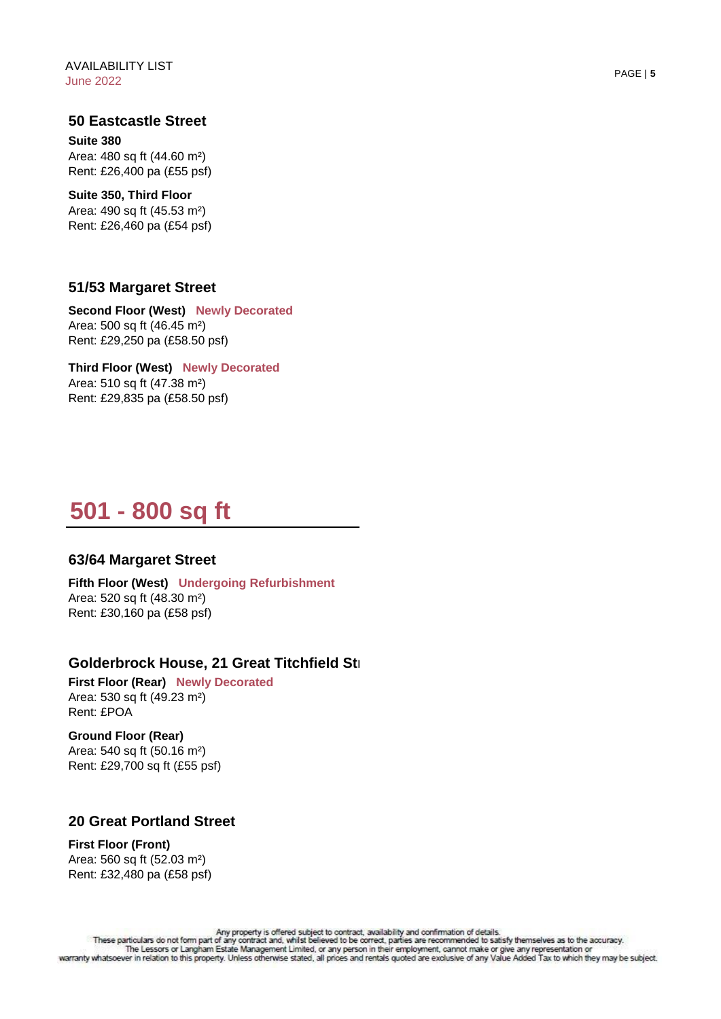#### **50 Eastcastle Street**

**Suite 380** Area: 480 sq ft (44.60 m²) Rent: £26,400 pa (£55 psf)

**Suite 350, Third Floor**  Area: 490 sq ft (45.53 m²) Rent: £26,460 pa (£54 psf)

#### **51/53 Margaret Street**

**Second Floor (West) Newly Decorated** Area: 500 sq ft (46.45 m²) Rent: £29,250 pa (£58.50 psf)

**Third Floor (West) Newly Decorated** Area: 510 sq ft (47.38 m²) Rent: £29,835 pa (£58.50 psf)

# **501 - 800 sq ft**

#### **63/64 Margaret Street**

**Fifth Floor (West) Undergoing Refurbishment** Area: 520 sq ft (48.30 m²) Rent: £30,160 pa (£58 psf)

#### Golderbrock House, 21 Great Titchfield Str

**First Floor (Rear) Newly Decorated** Area: 530 sq ft (49.23 m²) Rent: £POA

**Ground Floor (Rear)** Area: 540 sq ft (50.16 m²) Rent: £29,700 sq ft (£55 psf)

#### **20 Great Portland Street**

**First Floor (Front)**  Area: 560 sq ft (52.03 m²) Rent: £32,480 pa (£58 psf)

Any property is offered subject to contract, availability and confirmation of details.<br>These particulars do not form part of any contract and, whilst believed to be correct, parties are recommended to satisfy themselves as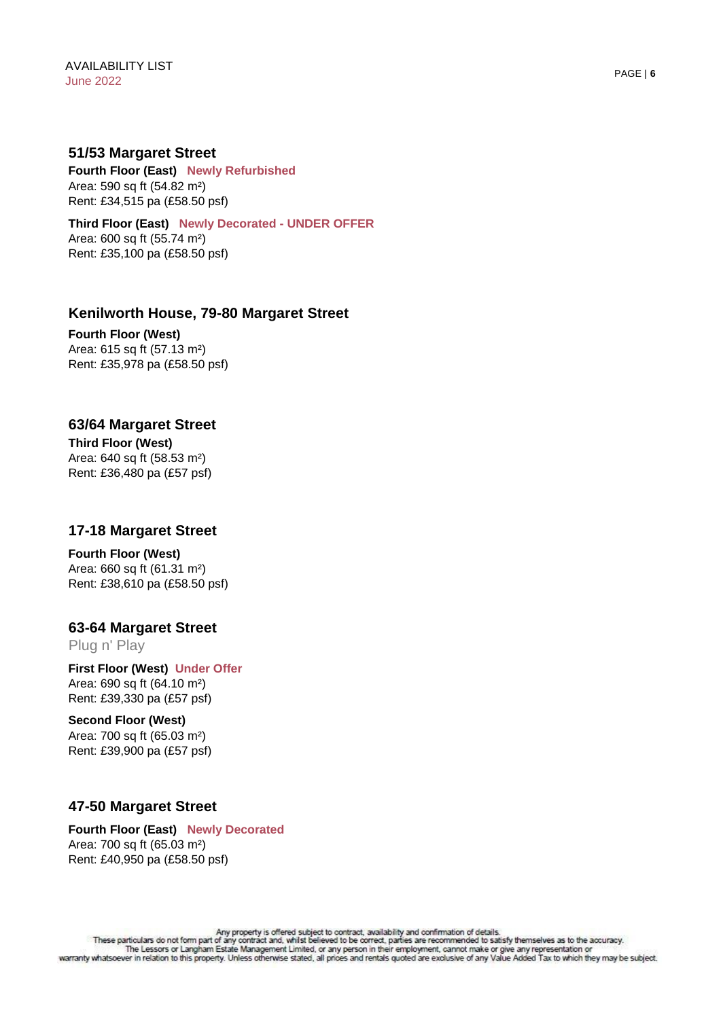#### **51/53 Margaret Street**

**Fourth Floor (East) Newly Refurbished** Area: 590 sq ft (54.82 m²) Rent: £34,515 pa (£58.50 psf)

**Third Floor (East) Newly Decorated - UNDER OFFER** Area: 600 sq ft (55.74 m²) Rent: £35,100 pa (£58.50 psf)

# **Kenilworth House, 79-80 Margaret Street**

**Fourth Floor (West)** Area: 615 sq ft (57.13 m²) Rent: £35,978 pa (£58.50 psf)

# **63/64 Margaret Street**

**Third Floor (West)**  Area: 640 sq ft (58.53 m²) Rent: £36,480 pa (£57 psf)

#### **17-18 Margaret Street**

# **Fourth Floor (West)**

Area: 660 sq ft (61.31 m²) Rent: £38,610 pa (£58.50 psf)

#### **63-64 Margaret Street**

Plug n' Play

**First Floor (West) Under Offer** Area: 690 sq ft (64.10 m²) Rent: £39,330 pa (£57 psf)

#### **Second Floor (West)**

Area: 700 sq ft (65.03 m²) Rent: £39,900 pa (£57 psf)

# **47-50 Margaret Street**

#### **Fourth Floor (East) Newly Decorated** Area: 700 sq ft (65.03 m²) Rent: £40,950 pa (£58.50 psf)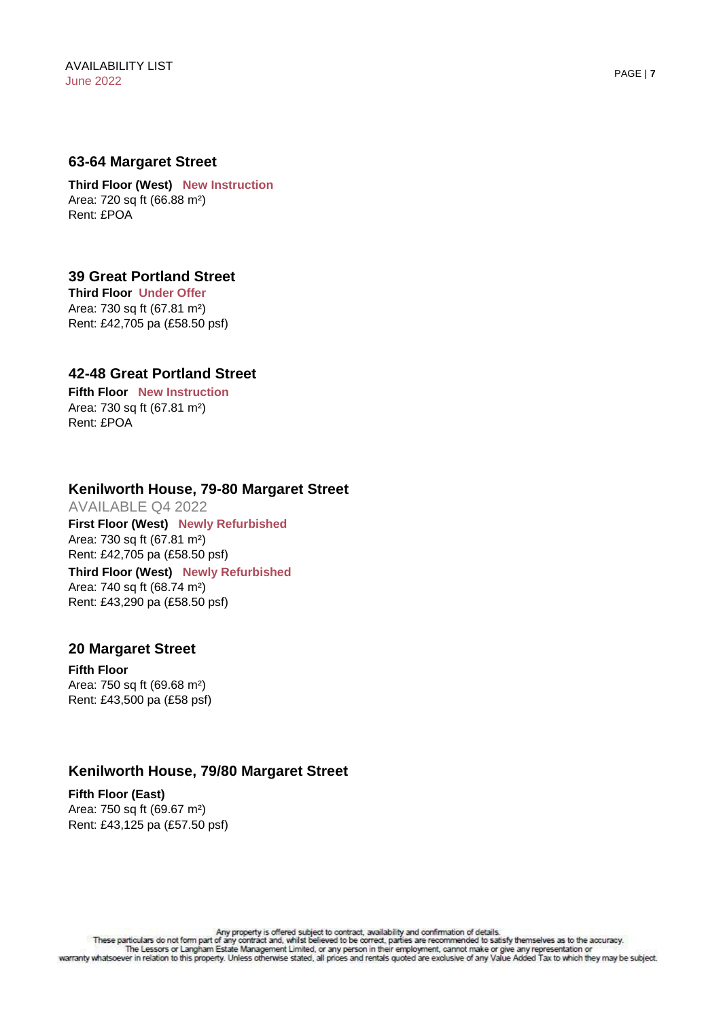#### **63-64 Margaret Street**

**Third Floor (West) New Instruction** Area: 720 sq ft (66.88 m²) Rent: £POA

# **Third Floor Under Offer 39 Great Portland Street**

Area: 730 sq ft (67.81 m²) Rent: £42,705 pa (£58.50 psf)

#### **42-48 Great Portland Street**

**Fifth Floor New Instruction** Area: 730 sq ft (67.81 m²) Rent: £POA

#### **Kenilworth House, 79-80 Margaret Street**

AVAILABLE Q4 2022 **Third Floor (West) Newly Refurbished** Area: 740 sq ft (68.74 m²) Rent: £43,290 pa (£58.50 psf) **First Floor (West) Newly Refurbished** Area: 730 sq ft (67.81 m²) Rent: £42,705 pa (£58.50 psf)

#### **20 Margaret Street**

**Fifth Floor** Area: 750 sq ft (69.68 m²) Rent: £43,500 pa (£58 psf)

# **Kenilworth House, 79/80 Margaret Street**

**Fifth Floor (East)**  Area: 750 sq ft (69.67 m²) Rent: £43,125 pa (£57.50 psf)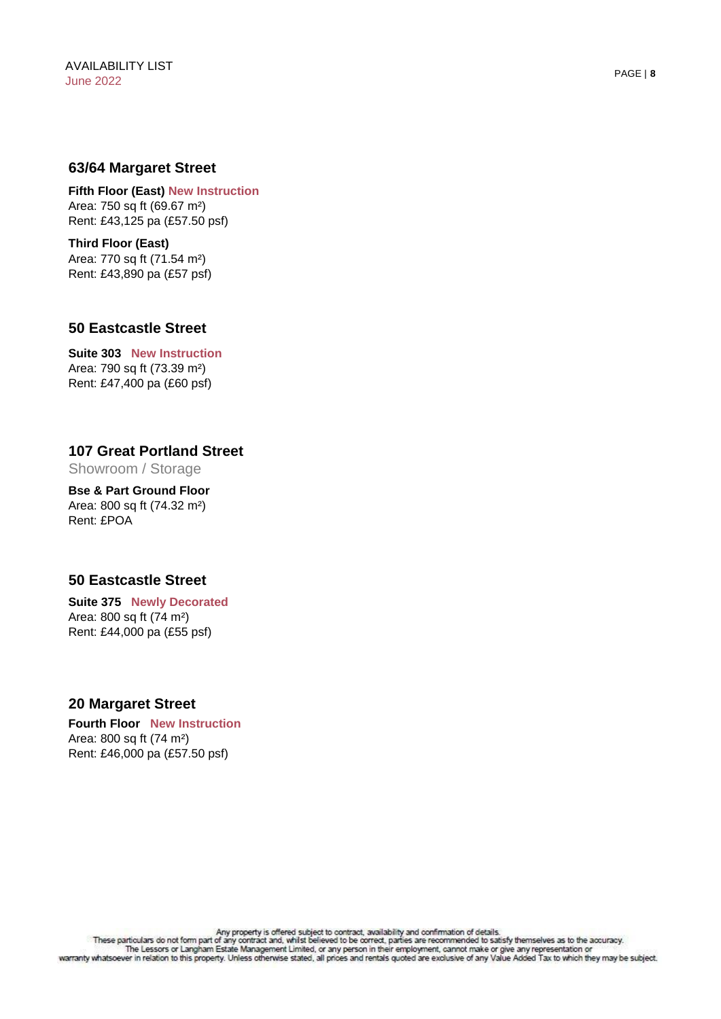#### **63/64 Margaret Street**

**Fifth Floor (East) New Instruction** Area: 750 sq ft (69.67 m²) Rent: £43,125 pa (£57.50 psf)

**Third Floor (East)** Area: 770 sq ft (71.54 m²) Rent: £43,890 pa (£57 psf)

#### **50 Eastcastle Street**

**Suite 303 New Instruction** Area: 790 sq ft (73.39 m²) Rent: £47,400 pa (£60 psf)

# **107 Great Portland Street**

Showroom / Storage

**Bse & Part Ground Floor**  Area: 800 sq ft (74.32 m²) Rent: £POA

# **50 Eastcastle Street**

**Suite 375 Newly Decorated** Area: 800 sq ft (74 m²) Rent: £44,000 pa (£55 psf)

#### **20 Margaret Street**

**Fourth Floor New Instruction** Area: 800 sq ft (74 m²) Rent: £46,000 pa (£57.50 psf)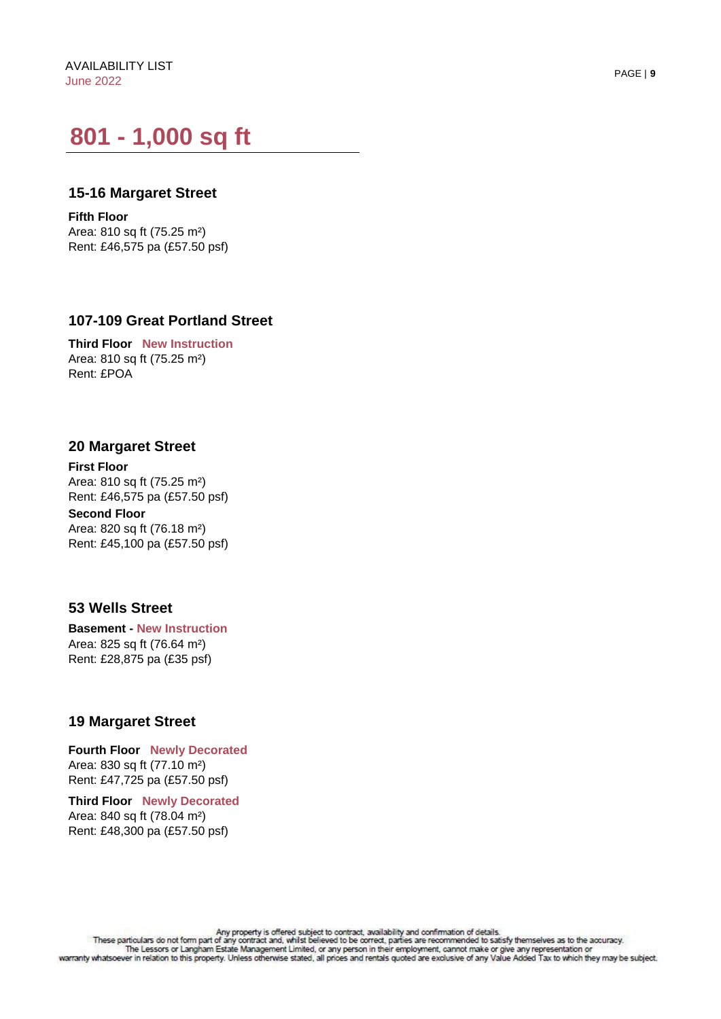# **801 - 1,000 sq ft**

#### **15-16 Margaret Street**

**Fifth Floor**  Area: 810 sq ft (75.25 m²) Rent: £46,575 pa (£57.50 psf)

#### **107-109 Great Portland Street**

**Third Floor New Instruction** Area: 810 sq ft (75.25 m²) Rent: £POA

#### **20 Margaret Street**

**Second Floor First Floor** Area: 810 sq ft (75.25 m²) Rent: £46,575 pa (£57.50 psf)

Area: 820 sq ft (76.18 m²) Rent: £45,100 pa (£57.50 psf)

#### **53 Wells Street**

**Basement - New Instruction** Area: 825 sq ft (76.64 m²) Rent: £28,875 pa (£35 psf)

#### **19 Margaret Street**

**Fourth Floor Newly Decorated** Area: 830 sq ft (77.10 m²) Rent: £47,725 pa (£57.50 psf)

**Third Floor Newly Decorated** Area: 840 sq ft (78.04 m²) Rent: £48,300 pa (£57.50 psf)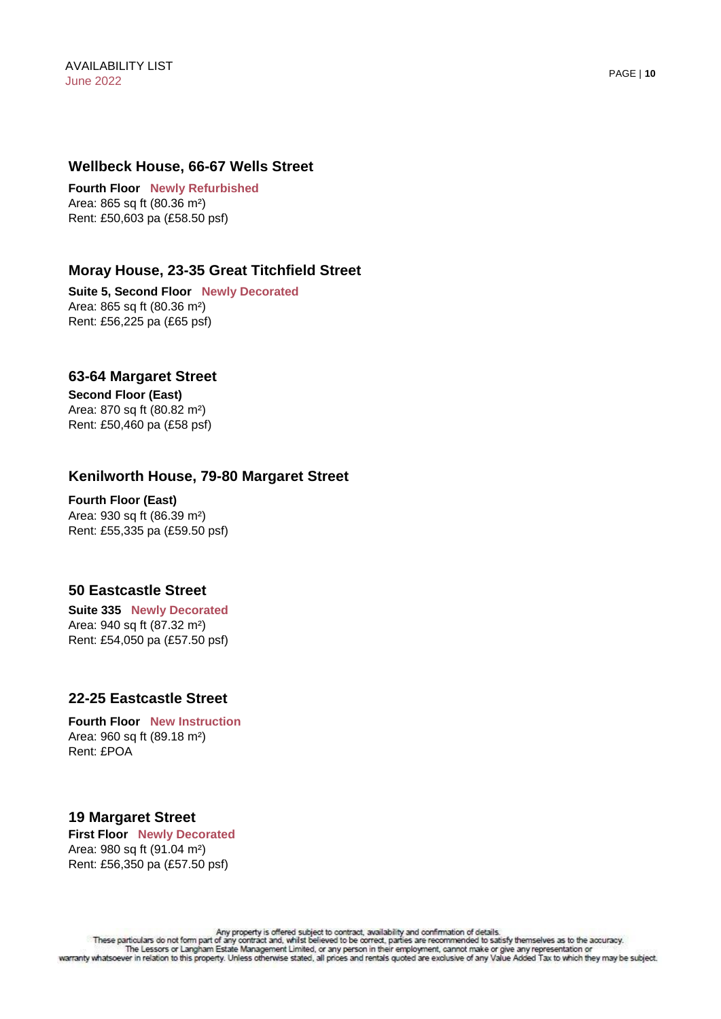#### **Wellbeck House, 66-67 Wells Street**

**Fourth Floor Newly Refurbished** Area: 865 sq ft (80.36 m²) Rent: £50,603 pa (£58.50 psf)

# **Moray House, 23-35 Great Titchfield Street**

**Suite 5, Second Floor Newly Decorated** Area: 865 sq ft (80.36 m²) Rent: £56,225 pa (£65 psf)

#### **63-64 Margaret Street**

**Second Floor (East)**  Area: 870 sq ft (80.82 m²) Rent: £50,460 pa (£58 psf)

# **Kenilworth House, 79-80 Margaret Street**

**Fourth Floor (East)**  Area: 930 sq ft (86.39 m²) Rent: £55,335 pa (£59.50 psf)

#### **50 Eastcastle Street**

**Suite 335 Newly Decorated** Area: 940 sq ft (87.32 m²) Rent: £54,050 pa (£57.50 psf)

#### **22-25 Eastcastle Street**

**Fourth Floor New Instruction** Area: 960 sq ft (89.18 m²) Rent: £POA

# **19 Margaret Street**

**First Floor Newly Decorated** Area: 980 sq ft (91.04 m²) Rent: £56,350 pa (£57.50 psf)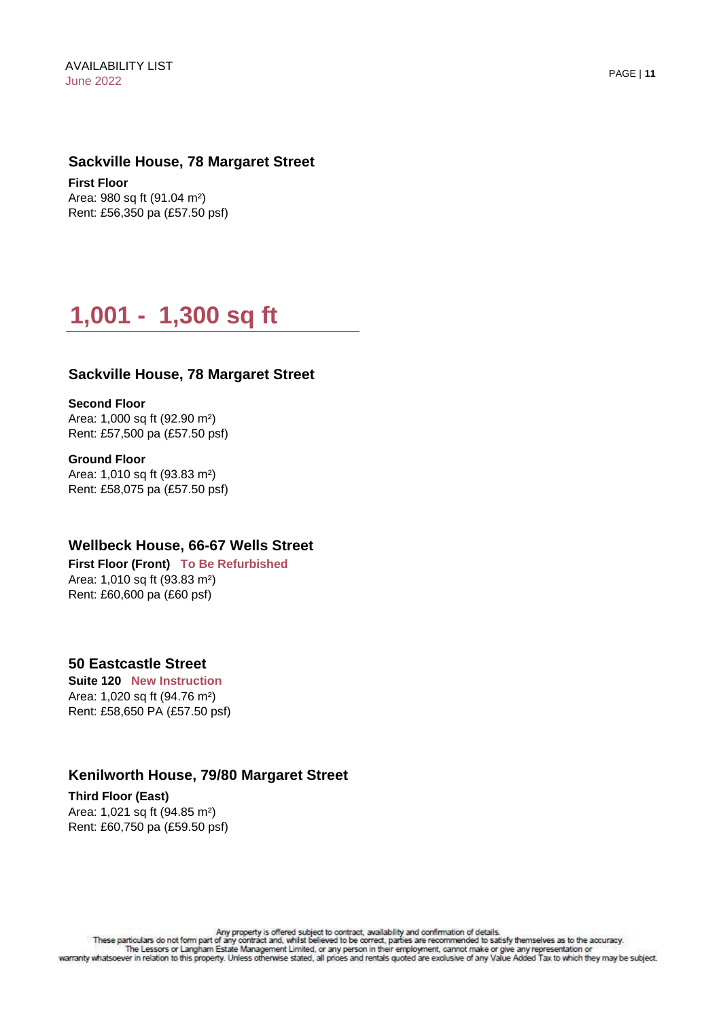#### **Sackville House, 78 Margaret Street**

**First Floor** Area: 980 sq ft (91.04 m²) Rent: £56,350 pa (£57.50 psf)

# **1,001 - 1,300 sq ft**

#### **Sackville House, 78 Margaret Street**

**Second Floor**

Area: 1,000 sq ft (92.90 m²) Rent: £57,500 pa (£57.50 psf)

**Ground Floor**  Area: 1,010 sq ft (93.83 m²) Rent: £58,075 pa (£57.50 psf)

#### **Wellbeck House, 66-67 Wells Street**

**First Floor (Front) To Be Refurbished** Area: 1,010 sq ft (93.83 m²) Rent: £60,600 pa (£60 psf)

#### **50 Eastcastle Street**

**Suite 120 New Instruction** Area: 1,020 sq ft (94.76 m²) Rent: £58,650 PA (£57.50 psf)

# **Kenilworth House, 79/80 Margaret Street**

**Third Floor (East)** Area: 1,021 sq ft (94.85 m²) Rent: £60,750 pa (£59.50 psf)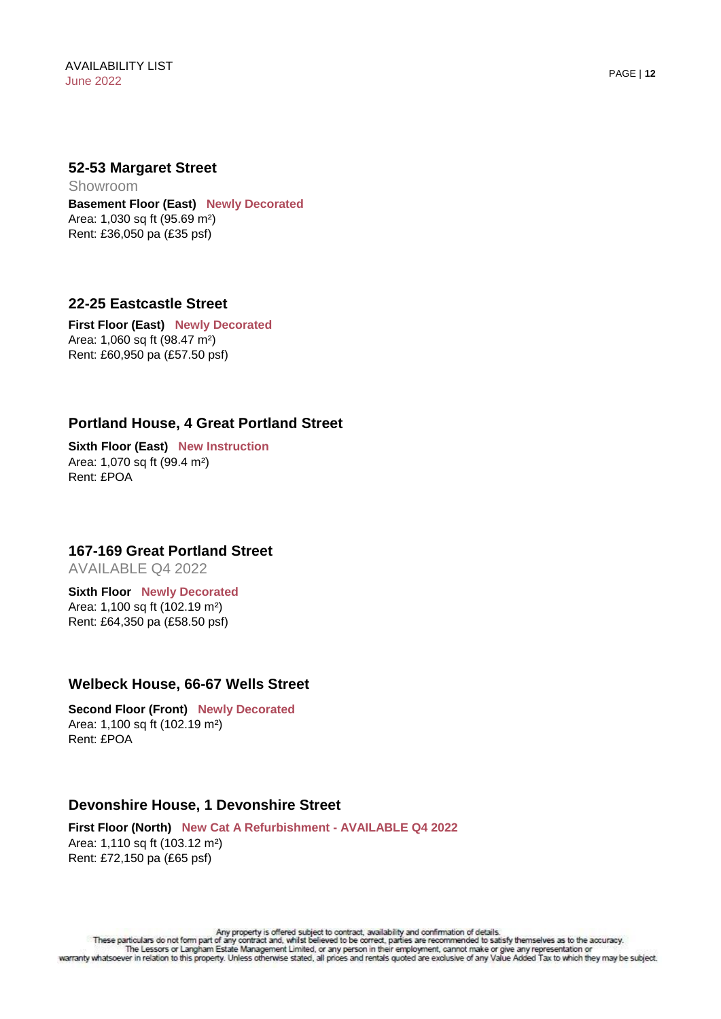#### **52-53 Margaret Street**

**Basement Floor (East) Newly Decorated** Area: 1,030 sq ft (95.69 m²) Rent: £36,050 pa (£35 psf) Showroom

#### **22-25 Eastcastle Street**

**First Floor (East) Newly Decorated** Area: 1,060 sq ft (98.47 m²) Rent: £60,950 pa (£57.50 psf)

# **Portland House, 4 Great Portland Street**

**Sixth Floor (East) New Instruction** Area: 1,070 sq ft (99.4 m²) Rent: £POA

### **167-169 Great Portland Street**

AVAILABLE Q4 2022

#### **Sixth Floor Newly Decorated** Area: 1,100 sq ft (102.19 m²) Rent: £64,350 pa (£58.50 psf)

#### **Welbeck House, 66-67 Wells Street**

**Second Floor (Front) Newly Decorated** Area: 1,100 sq ft (102.19 m²) Rent: £POA

#### **Devonshire House, 1 Devonshire Street**

**First Floor (North) New Cat A Refurbishment - AVAILABLE Q4 2022** Area: 1,110 sq ft (103.12 m²) Rent: £72,150 pa (£65 psf)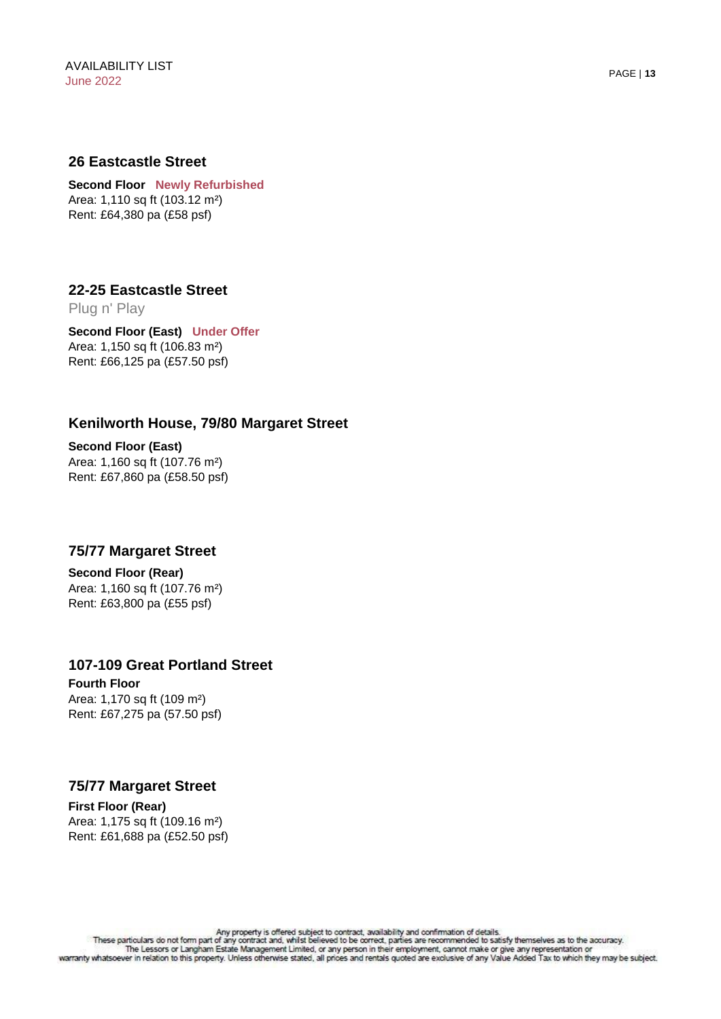#### **26 Eastcastle Street**

**Second Floor Newly Refurbished** Area: 1,110 sq ft (103.12 m²) Rent: £64,380 pa (£58 psf)

#### **22-25 Eastcastle Street**  Plug n' Play

**Second Floor (East) Under Offer** Area: 1,150 sq ft (106.83 m²) Rent: £66,125 pa (£57.50 psf)

# **Kenilworth House, 79/80 Margaret Street**

**Second Floor (East)** Area: 1,160 sq ft (107.76 m²) Rent: £67,860 pa (£58.50 psf)

#### **75/77 Margaret Street**

**Second Floor (Rear)**  Area: 1,160 sq ft (107.76 m²) Rent: £63,800 pa (£55 psf)

#### **107-109 Great Portland Street**

**Fourth Floor** Area: 1,170 sq ft (109 m²) Rent: £67,275 pa (57.50 psf)

#### **75/77 Margaret Street**

**First Floor (Rear)** Area: 1,175 sq ft (109.16 m²) Rent: £61,688 pa (£52.50 psf)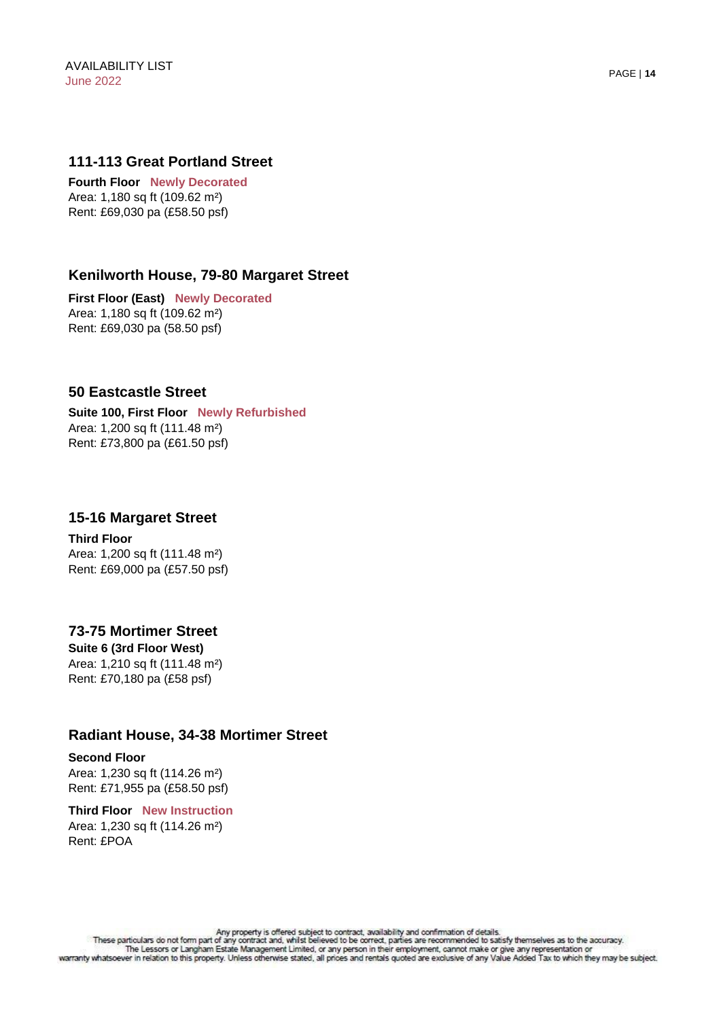#### **111-113 Great Portland Street**

**Fourth Floor Newly Decorated** Area: 1,180 sq ft (109.62 m²) Rent: £69,030 pa (£58.50 psf)

#### **Kenilworth House, 79-80 Margaret Street**

**First Floor (East) Newly Decorated** Area: 1,180 sq ft (109.62 m²) Rent: £69,030 pa (58.50 psf)

#### **50 Eastcastle Street**

**Suite 100, First Floor Newly Refurbished** Area: 1,200 sq ft (111.48 m²) Rent: £73,800 pa (£61.50 psf)

#### **15-16 Margaret Street**

**Third Floor** Area: 1,200 sq ft (111.48 m²) Rent: £69,000 pa (£57.50 psf)

# **73-75 Mortimer Street**

**Suite 6 (3rd Floor West)**  Area: 1,210 sq ft (111.48 m²) Rent: £70,180 pa (£58 psf)

### **Radiant House, 34-38 Mortimer Street**

#### **Second Floor**

Area: 1,230 sq ft (114.26 m²) Rent: £71,955 pa (£58.50 psf)

#### **Third Floor New Instruction** Area: 1,230 sq ft (114.26 m²) Rent: £POA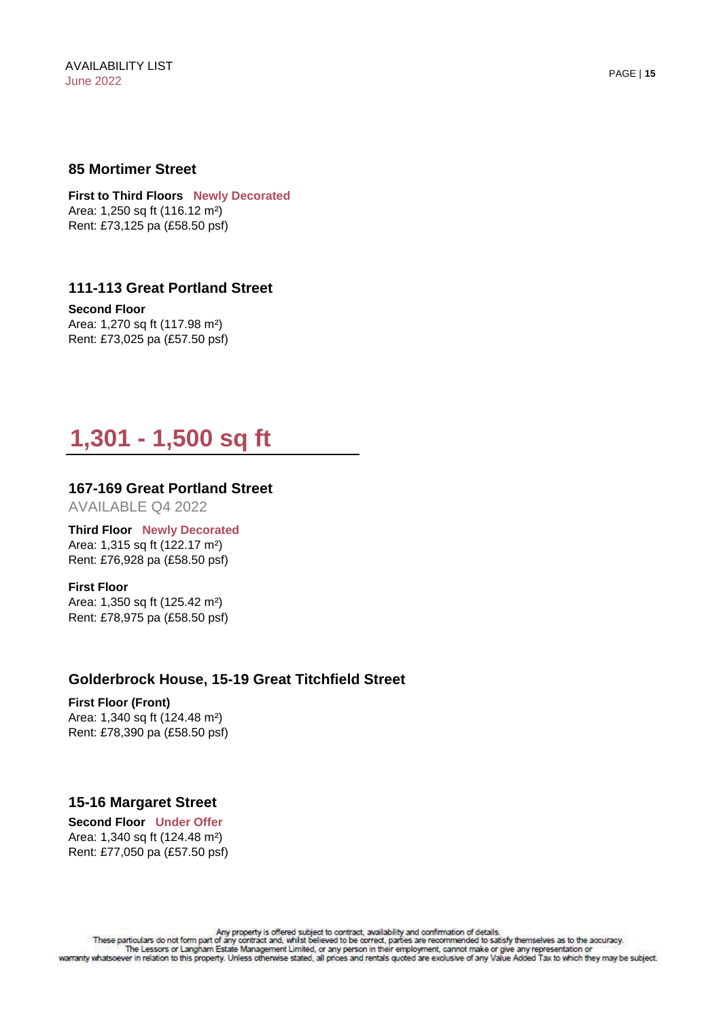#### **85 Mortimer Street**

**First to Third Floors Newly Decorated** Area: 1,250 sq ft (116.12 m²) Rent: £73,125 pa (£58.50 psf)

# **111-113 Great Portland Street**

**Second Floor** Area: 1,270 sq ft (117.98 m²) Rent: £73,025 pa (£57.50 psf)

$$
1,301 - 1,500 \text{ sq ft}
$$

#### **167-169 Great Portland Street**

AVAILABLE Q4 2022

**Third Floor Newly Decorated** Area: 1,315 sq ft (122.17 m²) Rent: £76,928 pa (£58.50 psf)

**First Floor** Area: 1,350 sq ft (125.42 m²) Rent: £78,975 pa (£58.50 psf)

#### **Golderbrock House, 15-19 Great Titchfield Street**

#### **First Floor (Front)**

Area: 1,340 sq ft (124.48 m²) Rent: £78,390 pa (£58.50 psf)

#### **15-16 Margaret Street**

**Second Floor Under Offer** Area: 1,340 sq ft (124.48 m²) Rent: £77,050 pa (£57.50 psf)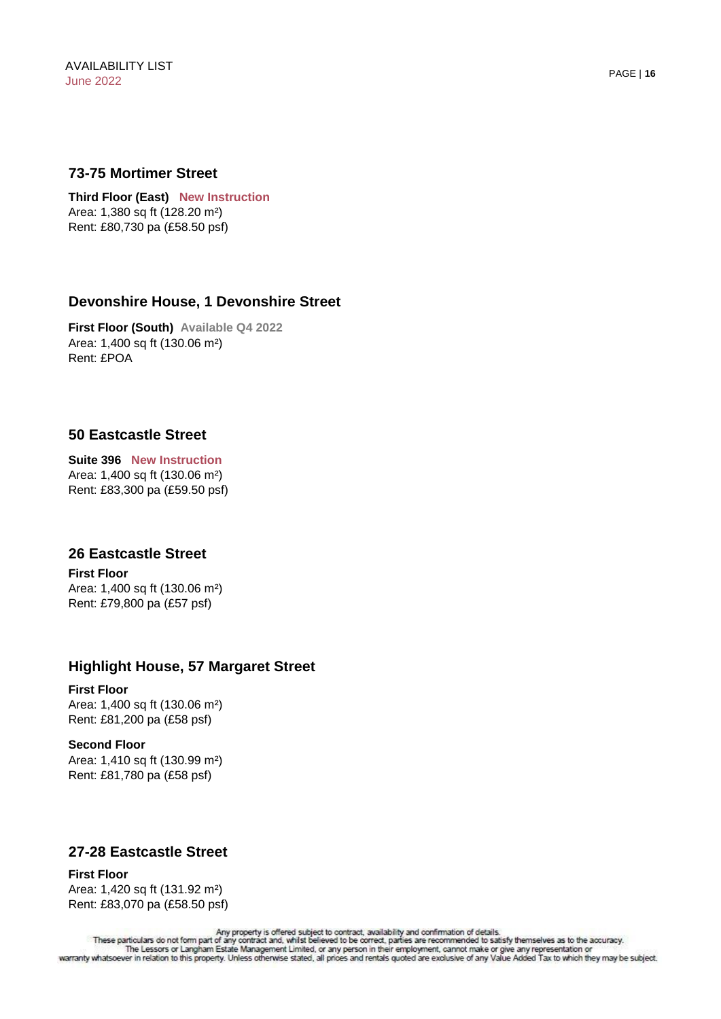#### **73-75 Mortimer Street**

**Third Floor (East) New Instruction** Area: 1,380 sq ft (128.20 m²) Rent: £80,730 pa (£58.50 psf)

#### **Devonshire House, 1 Devonshire Street**

**First Floor (South) Available Q4 2022** Area: 1,400 sq ft (130.06 m²) Rent: £POA

# **50 Eastcastle Street**

**Suite 396 New Instruction** Area: 1,400 sq ft (130.06 m²) Rent: £83,300 pa (£59.50 psf)

#### **26 Eastcastle Street**

**First Floor**  Area: 1,400 sq ft (130.06 m²) Rent: £79,800 pa (£57 psf)

#### **Highlight House, 57 Margaret Street**

#### **First Floor**

Area: 1,400 sq ft (130.06 m²) Rent: £81,200 pa (£58 psf)

#### **Second Floor**

Area: 1,410 sq ft (130.99 m²) Rent: £81,780 pa (£58 psf)

# **27-28 Eastcastle Street**

#### **First Floor** Area: 1,420 sq ft (131.92 m²) Rent: £83,070 pa (£58.50 psf)

Any property is offered subject to contract, availability and confirmation of details.<br>These particulars do not form part of any contract and, whilst believed to be correct, parties are recommended to satisfy themselves as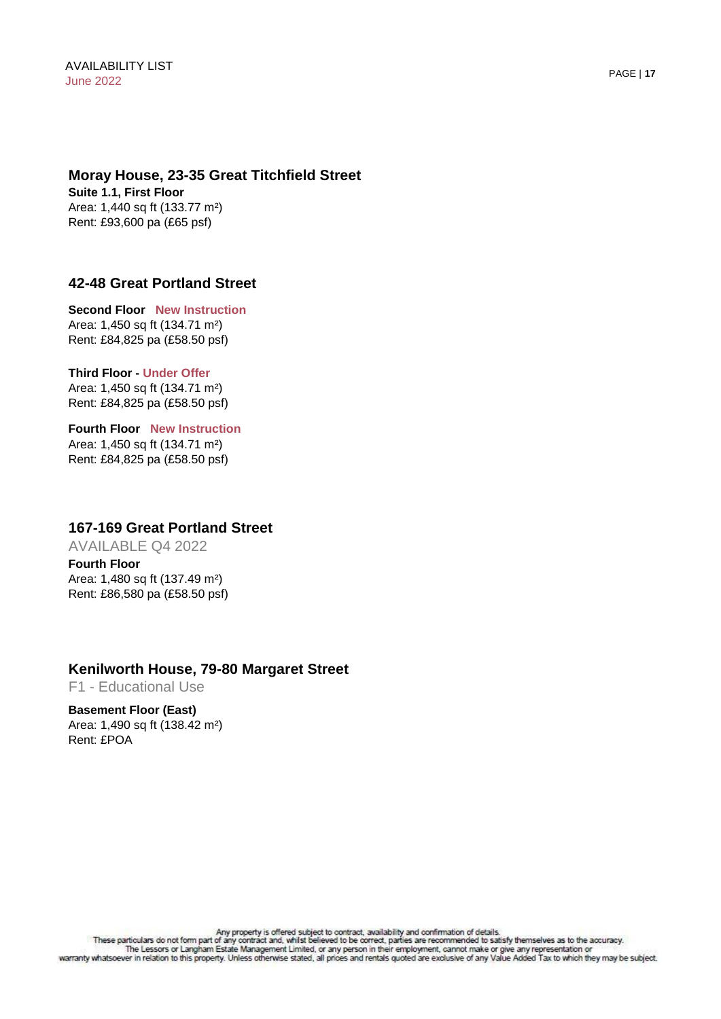# **Moray House, 23-35 Great Titchfield Street**

**Suite 1.1, First Floor**  Area: 1,440 sq ft (133.77 m²) Rent: £93,600 pa (£65 psf)

# **42-48 Great Portland Street**

**Second Floor New Instruction** Area: 1,450 sq ft (134.71 m²) Rent: £84,825 pa (£58.50 psf)

**Third Floor - Under Offer** Area: 1,450 sq ft (134.71 m²) Rent: £84,825 pa (£58.50 psf)

**Fourth Floor New Instruction** Area: 1,450 sq ft (134.71 m²) Rent: £84,825 pa (£58.50 psf)

#### **167-169 Great Portland Street**

AVAILABLE Q4 2022

**Fourth Floor** Area: 1,480 sq ft (137.49 m²) Rent: £86,580 pa (£58.50 psf)

#### **Kenilworth House, 79-80 Margaret Street**

F1 - Educational Use

**Basement Floor (East)**  Area: 1,490 sq ft (138.42 m²) Rent: £POA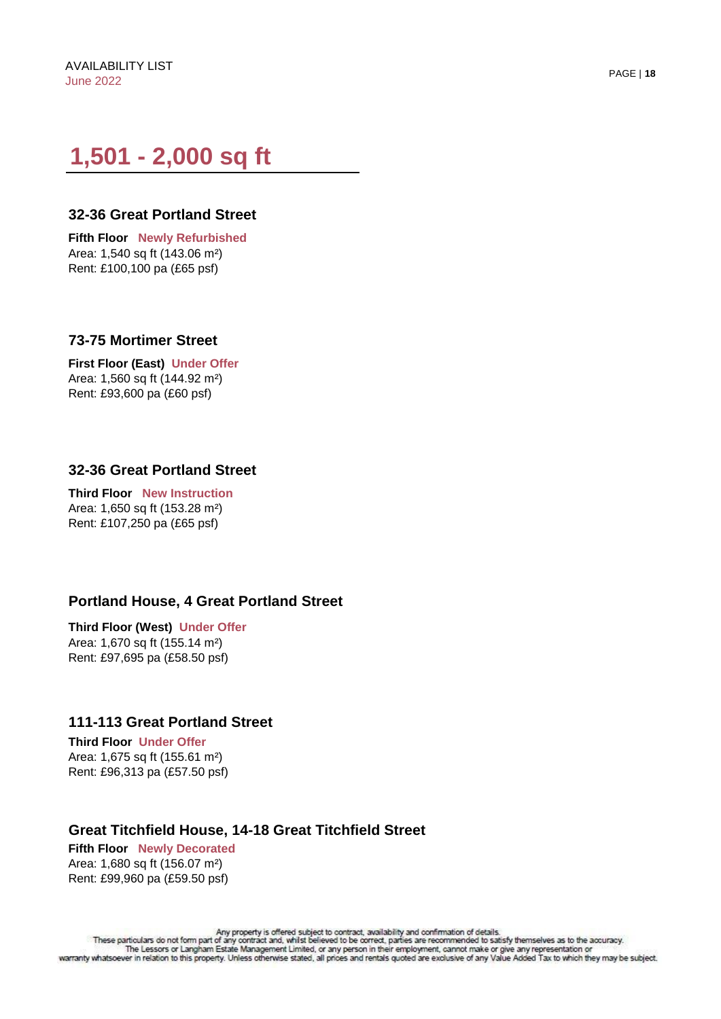# **1,501 - 2,000 sq ft**

#### **32-36 Great Portland Street**

**Fifth Floor Newly Refurbished** Area: 1,540 sq ft (143.06 m²) Rent: £100,100 pa (£65 psf)

#### **73-75 Mortimer Street**

**First Floor (East) Under Offer** Area: 1,560 sq ft (144.92 m²) Rent: £93,600 pa (£60 psf)

# **32-36 Great Portland Street**

**Third Floor New Instruction** Area: 1,650 sq ft (153.28 m²) Rent: £107,250 pa (£65 psf)

#### **Portland House, 4 Great Portland Street**

**Third Floor (West) Under Offer** Area: 1,670 sq ft (155.14 m²) Rent: £97,695 pa (£58.50 psf)

#### **111-113 Great Portland Street**

**Third Floor Under Offer**  Area: 1,675 sq ft (155.61 m²) Rent: £96,313 pa (£57.50 psf)

#### **Great Titchfield House, 14-18 Great Titchfield Street**

**Fifth Floor Newly Decorated** Area: 1,680 sq ft (156.07 m²) Rent: £99,960 pa (£59.50 psf)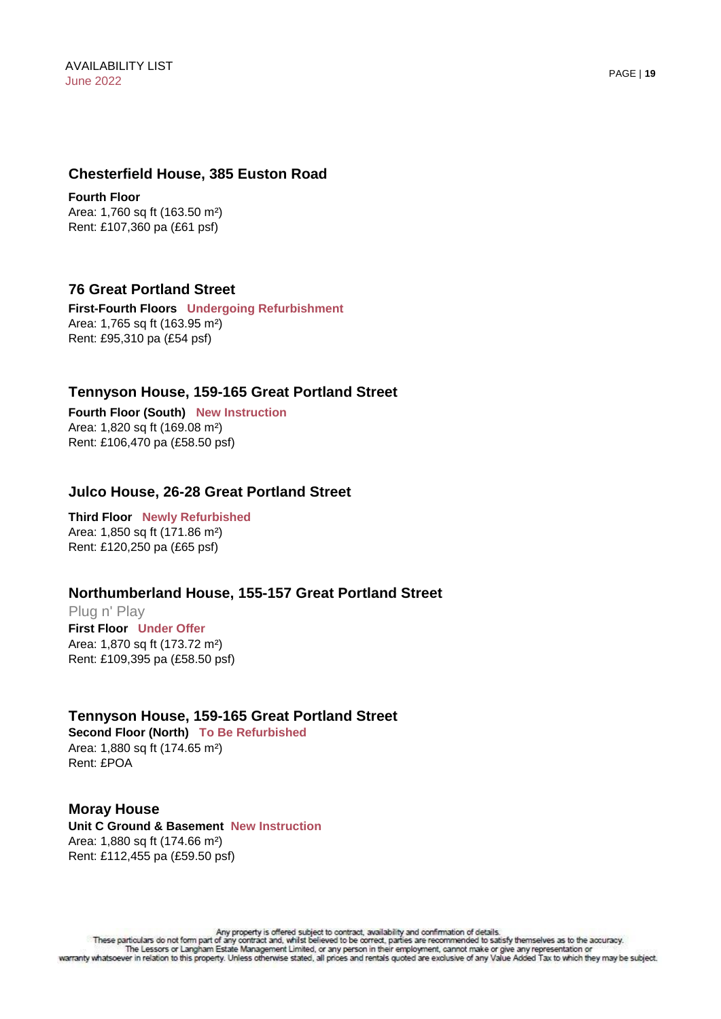#### **Chesterfield House, 385 Euston Road**

**Fourth Floor** Area: 1,760 sq ft (163.50 m²) Rent: £107,360 pa (£61 psf)

#### **76 Great Portland Street**

**First-Fourth Floors Undergoing Refurbishment** Area: 1,765 sq ft (163.95 m²) Rent: £95,310 pa (£54 psf)

#### **Tennyson House, 159-165 Great Portland Street**

**Fourth Floor (South) New Instruction** Area: 1,820 sq ft (169.08 m²) Rent: £106,470 pa (£58.50 psf)

#### **Julco House, 26-28 Great Portland Street**

**Third Floor Newly Refurbished**  Area: 1,850 sq ft (171.86 m²) Rent: £120,250 pa (£65 psf)

# **Northumberland House, 155-157 Great Portland Street**

Plug n' Play **First Floor Under Offer** Area: 1,870 sq ft (173.72 m²) Rent: £109,395 pa (£58.50 psf)

#### **Tennyson House, 159-165 Great Portland Street**

**Second Floor (North) To Be Refurbished** Area: 1,880 sq ft (174.65 m²) Rent: £POA

# **Moray House**

**Unit C Ground & Basement New Instruction**  Area: 1,880 sq ft (174.66 m²) Rent: £112,455 pa (£59.50 psf)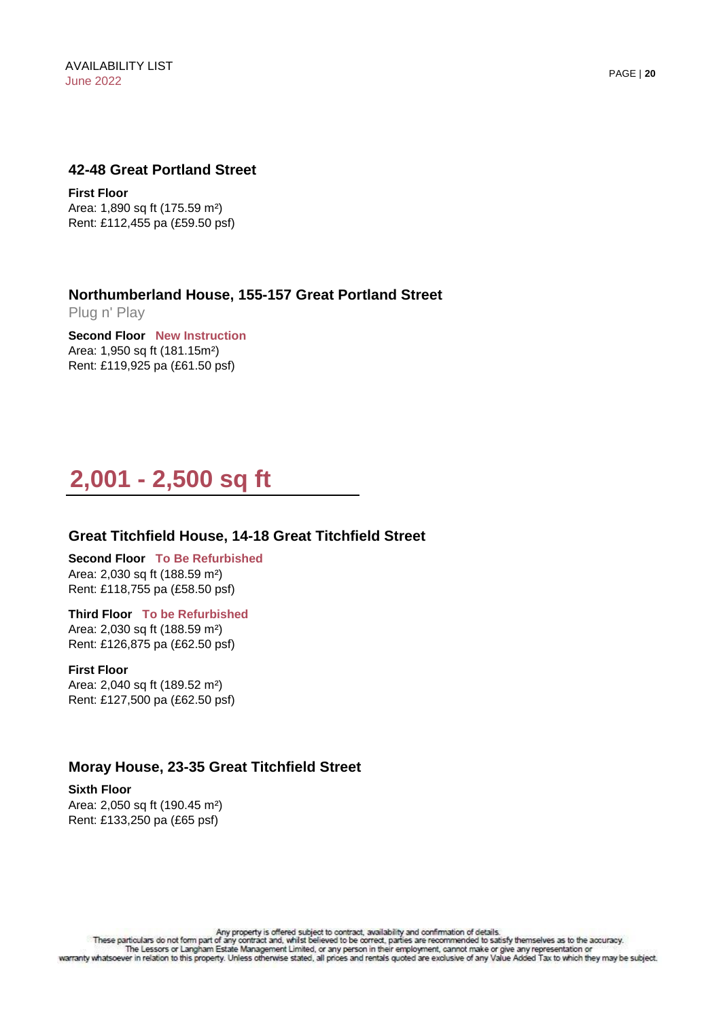#### **42-48 Great Portland Street**

**First Floor**  Area: 1,890 sq ft (175.59 m²) Rent: £112,455 pa (£59.50 psf)

**Northumberland House, 155-157 Great Portland Street** 

Plug n' Play

**Second Floor New Instruction** Area: 1,950 sq ft (181.15m²) Rent: £119,925 pa (£61.50 psf)

# **2,001 - 2,500 sq ft**

# **Great Titchfield House, 14-18 Great Titchfield Street**

**Second Floor To Be Refurbished** Area: 2,030 sq ft (188.59 m²) Rent: £118,755 pa (£58.50 psf)

**Third Floor To be Refurbished** Area: 2,030 sq ft (188.59 m²) Rent: £126,875 pa (£62.50 psf)

**First Floor** Area: 2,040 sq ft (189.52 m²) Rent: £127,500 pa (£62.50 psf)

# **Moray House, 23-35 Great Titchfield Street**

**Sixth Floor** Area: 2,050 sq ft (190.45 m²) Rent: £133,250 pa (£65 psf)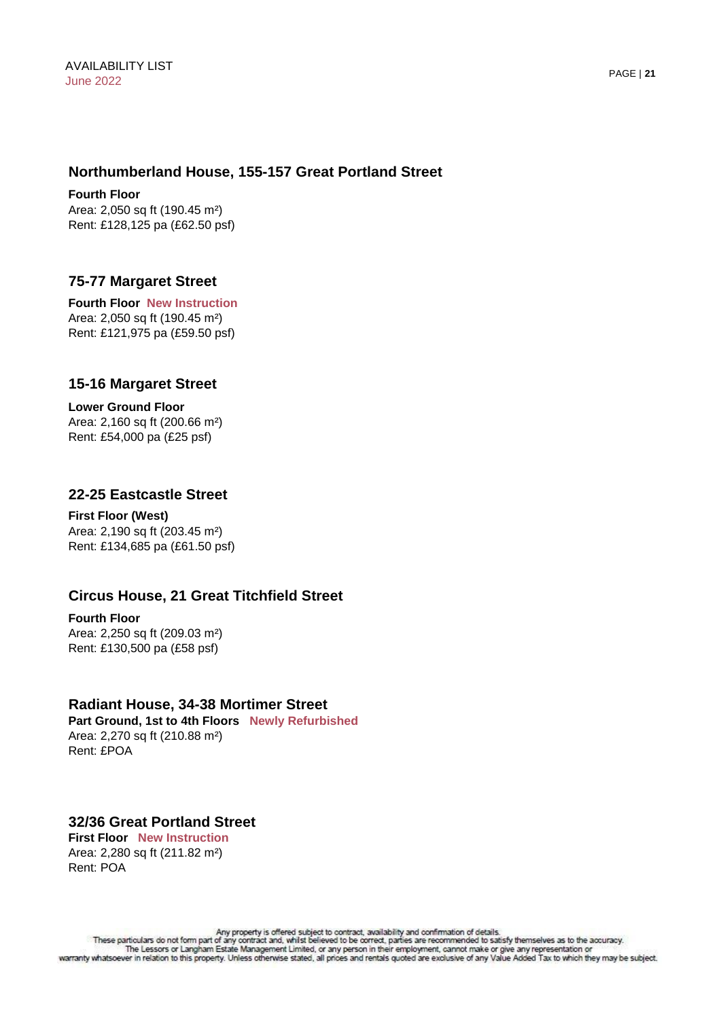#### **Northumberland House, 155-157 Great Portland Street**

**Fourth Floor** Area: 2,050 sq ft (190.45 m²) Rent: £128,125 pa (£62.50 psf)

# **75-77 Margaret Street**

**Fourth Floor New Instruction**  Area: 2,050 sq ft (190.45 m²) Rent: £121,975 pa (£59.50 psf)

#### **15-16 Margaret Street**

**Lower Ground Floor** Area: 2,160 sq ft (200.66 m²) Rent: £54,000 pa (£25 psf)

#### **22-25 Eastcastle Street**

**First Floor (West)**  Area: 2,190 sq ft (203.45 m²) Rent: £134,685 pa (£61.50 psf)

# **Circus House, 21 Great Titchfield Street**

**Fourth Floor** Area: 2,250 sq ft (209.03 m²) Rent: £130,500 pa (£58 psf)

#### **Radiant House, 34-38 Mortimer Street**

**Part Ground, 1st to 4th Floors Newly Refurbished** Area: 2,270 sq ft (210.88 m²) Rent: £POA

#### **32/36 Great Portland Street First Floor New Instruction**

Area: 2,280 sq ft (211.82 m²) Rent: POA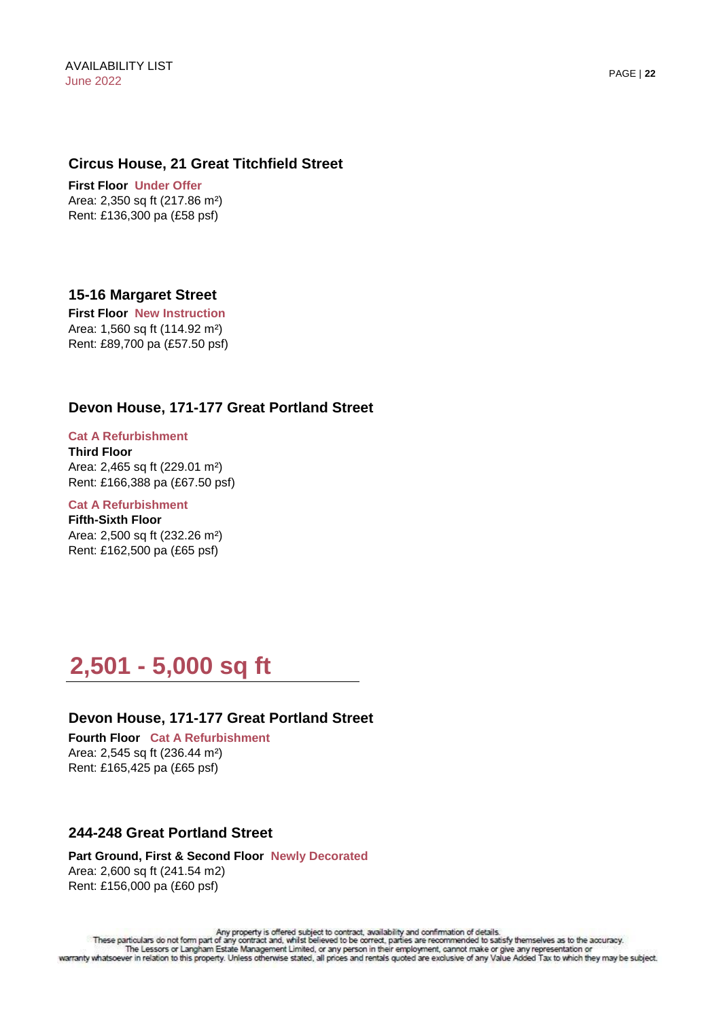#### **Circus House, 21 Great Titchfield Street**

**First Floor Under Offer**  Area: 2,350 sq ft (217.86 m²) Rent: £136,300 pa (£58 psf)

# **15-16 Margaret Street**

**First Floor New Instruction**  Area: 1,560 sq ft (114.92 m²) Rent: £89,700 pa (£57.50 psf)

# **Devon House, 171-177 Great Portland Street**

# **Cat A Refurbishment**

**Third Floor**  Area: 2,465 sq ft (229.01 m²) Rent: £166,388 pa (£67.50 psf)

#### **Cat A Refurbishment Fifth-Sixth Floor**  Area: 2,500 sq ft (232.26 m²) Rent: £162,500 pa (£65 psf)

# **2,501 - 5,000 sq ft**

#### **Devon House, 171-177 Great Portland Street**

**Fourth Floor Cat A Refurbishment** Area: 2,545 sq ft (236.44 m²) Rent: £165,425 pa (£65 psf)

#### **244-248 Great Portland Street**

**Part Ground, First & Second Floor Newly Decorated** Area: 2,600 sq ft (241.54 m2) Rent: £156,000 pa (£60 psf)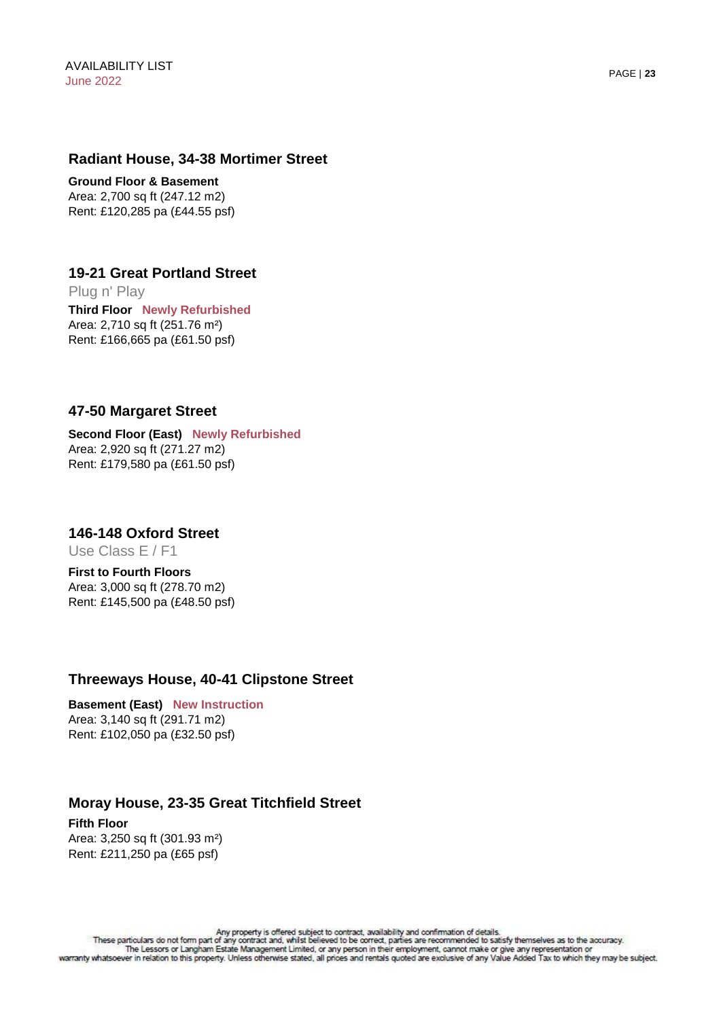#### **Radiant House, 34-38 Mortimer Street**

**Ground Floor & Basement**  Area: 2,700 sq ft (247.12 m2) Rent: £120,285 pa (£44.55 psf)

**Third Floor Newly Refurbished** Area: 2,710 sq ft (251.76 m²) Rent: £166,665 pa (£61.50 psf) **19-21 Great Portland Street**  Plug n' Play

#### **47-50 Margaret Street**

#### **Second Floor (East) Newly Refurbished** Area: 2,920 sq ft (271.27 m2) Rent: £179,580 pa (£61.50 psf)

**146-148 Oxford Street** 

Use Class E / F1

**First to Fourth Floors** Area: 3,000 sq ft (278.70 m2) Rent: £145,500 pa (£48.50 psf)

#### **Threeways House, 40-41 Clipstone Street**

**Basement (East) New Instruction** Area: 3,140 sq ft (291.71 m2) Rent: £102,050 pa (£32.50 psf)

# **Moray House, 23-35 Great Titchfield Street**

**Fifth Floor** Area: 3,250 sq ft (301.93 m²) Rent: £211,250 pa (£65 psf)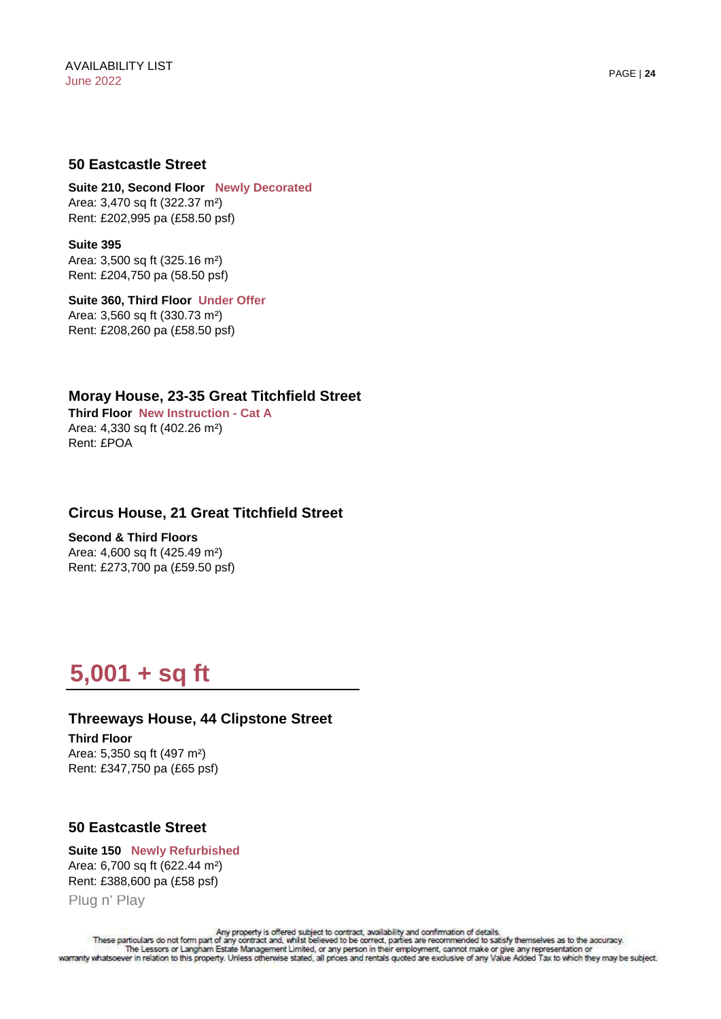#### **50 Eastcastle Street**

**Suite 210, Second Floor Newly Decorated** Area: 3,470 sq ft (322.37 m²) Rent: £202,995 pa (£58.50 psf)

**Suite 395** Area: 3,500 sq ft (325.16 m²) Rent: £204,750 pa (58.50 psf)

**Suite 360, Third Floor Under Offer** Area: 3,560 sq ft (330.73 m²) Rent: £208,260 pa (£58.50 psf)

**Moray House, 23-35 Great Titchfield Street Third Floor New Instruction - Cat A** Area: 4,330 sq ft (402.26 m²) Rent: £POA

# **Circus House, 21 Great Titchfield Street**

**Second & Third Floors** Area: 4,600 sq ft (425.49 m²) Rent: £273,700 pa (£59.50 psf)

# **5,001 + sq ft**

**Third Floor** Area: 5,350 sq ft (497 m²) Rent: £347,750 pa (£65 psf) **Threeways House, 44 Clipstone Street**

#### **50 Eastcastle Street**

**Suite 150 Newly Refurbished** Area: 6,700 sq ft (622.44 m²) Rent: £388,600 pa (£58 psf) Plug n' Play

Any property is offered subject to contract, availability and confirmation of details.<br>These particulars do not form part of any contract and, whilst believed to be correct, parties are recommended to satisfy themselves as